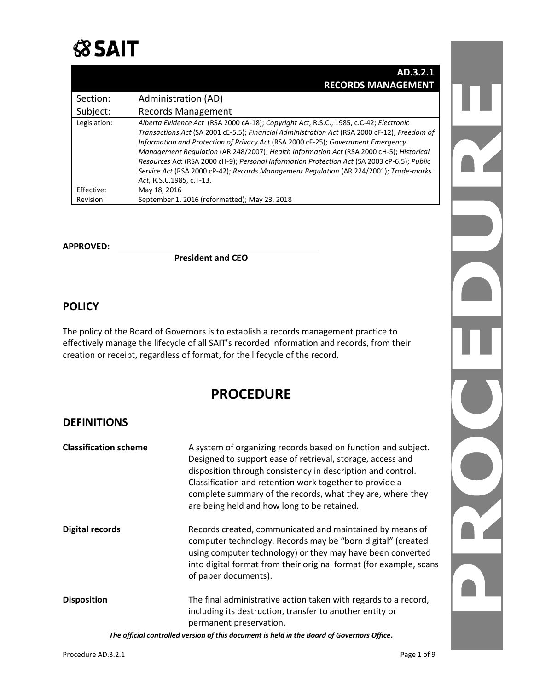

|              | AD.3.2.1                                                                                                                                                                                                                                                                                                                                                                                                                                                                                                                                                                                   |
|--------------|--------------------------------------------------------------------------------------------------------------------------------------------------------------------------------------------------------------------------------------------------------------------------------------------------------------------------------------------------------------------------------------------------------------------------------------------------------------------------------------------------------------------------------------------------------------------------------------------|
|              | <b>RECORDS MANAGEMENT</b>                                                                                                                                                                                                                                                                                                                                                                                                                                                                                                                                                                  |
| Section:     | Administration (AD)                                                                                                                                                                                                                                                                                                                                                                                                                                                                                                                                                                        |
| Subject:     | <b>Records Management</b>                                                                                                                                                                                                                                                                                                                                                                                                                                                                                                                                                                  |
| Legislation: | Alberta Evidence Act (RSA 2000 cA-18); Copyright Act, R.S.C., 1985, c.C-42; Electronic<br>Transactions Act (SA 2001 cE-5.5); Financial Administration Act (RSA 2000 cF-12); Freedom of<br>Information and Protection of Privacy Act (RSA 2000 cF-25); Government Emergency<br>Management Regulation (AR 248/2007); Health Information Act (RSA 2000 cH-5); Historical<br>Resources Act (RSA 2000 cH-9); Personal Information Protection Act (SA 2003 cP-6.5); Public<br>Service Act (RSA 2000 cP-42); Records Management Regulation (AR 224/2001); Trade-marks<br>Act, R.S.C.1985, c.T-13. |
| Effective:   | May 18, 2016                                                                                                                                                                                                                                                                                                                                                                                                                                                                                                                                                                               |
| Revision:    | September 1, 2016 (reformatted); May 23, 2018                                                                                                                                                                                                                                                                                                                                                                                                                                                                                                                                              |

#### **APPROVED:**

**President and CEO**

## **POLICY**

The policy of the Board of Governors is to establish a records management practice to effectively manage the lifecycle of all SAIT's recorded information and records, from their creation or receipt, regardless of format, for the lifecycle of the record.

## **PROCEDURE**

## **DEFINITIONS**

| <b>Classification scheme</b> | A system of organizing records based on function and subject.<br>Designed to support ease of retrieval, storage, access and<br>disposition through consistency in description and control.<br>Classification and retention work together to provide a<br>complete summary of the records, what they are, where they<br>are being held and how long to be retained. |
|------------------------------|--------------------------------------------------------------------------------------------------------------------------------------------------------------------------------------------------------------------------------------------------------------------------------------------------------------------------------------------------------------------|
| Digital records              | Records created, communicated and maintained by means of<br>computer technology. Records may be "born digital" (created<br>using computer technology) or they may have been converted<br>into digital format from their original format (for example, scans<br>of paper documents).                                                                                |
| <b>Disposition</b>           | The final administrative action taken with regards to a record,<br>including its destruction, transfer to another entity or<br>permanent preservation.                                                                                                                                                                                                             |
|                              | The official controlled version of this document is held in the Board of Governors Office.                                                                                                                                                                                                                                                                         |

nY OT.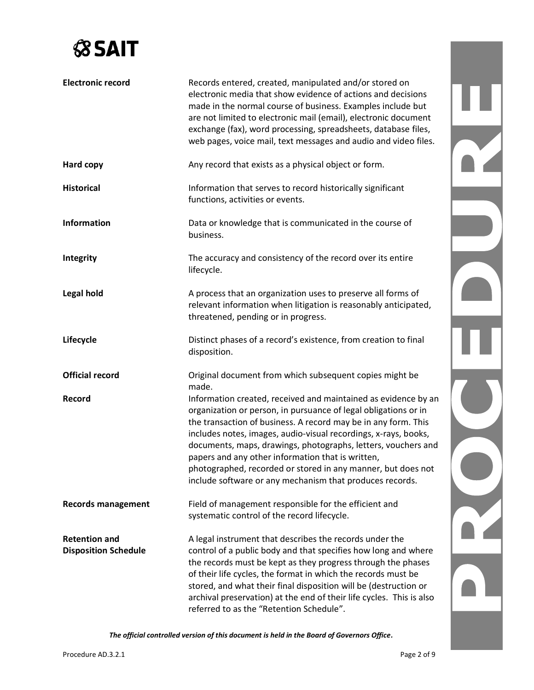

| <b>Electronic record</b>                            | Records entered, created, manipulated and/or stored on<br>electronic media that show evidence of actions and decisions<br>made in the normal course of business. Examples include but<br>are not limited to electronic mail (email), electronic document<br>exchange (fax), word processing, spreadsheets, database files,<br>web pages, voice mail, text messages and audio and video files.                                                                                                                            |  |
|-----------------------------------------------------|--------------------------------------------------------------------------------------------------------------------------------------------------------------------------------------------------------------------------------------------------------------------------------------------------------------------------------------------------------------------------------------------------------------------------------------------------------------------------------------------------------------------------|--|
| Hard copy                                           | Any record that exists as a physical object or form.                                                                                                                                                                                                                                                                                                                                                                                                                                                                     |  |
| <b>Historical</b>                                   | Information that serves to record historically significant<br>functions, activities or events.                                                                                                                                                                                                                                                                                                                                                                                                                           |  |
| <b>Information</b>                                  | Data or knowledge that is communicated in the course of<br>business.                                                                                                                                                                                                                                                                                                                                                                                                                                                     |  |
| Integrity                                           | The accuracy and consistency of the record over its entire<br>lifecycle.                                                                                                                                                                                                                                                                                                                                                                                                                                                 |  |
| <b>Legal hold</b>                                   | A process that an organization uses to preserve all forms of<br>relevant information when litigation is reasonably anticipated,<br>threatened, pending or in progress.                                                                                                                                                                                                                                                                                                                                                   |  |
| Lifecycle                                           | Distinct phases of a record's existence, from creation to final<br>disposition.                                                                                                                                                                                                                                                                                                                                                                                                                                          |  |
| <b>Official record</b>                              | Original document from which subsequent copies might be<br>made.                                                                                                                                                                                                                                                                                                                                                                                                                                                         |  |
| Record                                              | Information created, received and maintained as evidence by an<br>organization or person, in pursuance of legal obligations or in<br>the transaction of business. A record may be in any form. This<br>includes notes, images, audio-visual recordings, x-rays, books,<br>documents, maps, drawings, photographs, letters, vouchers and<br>papers and any other information that is written,<br>photographed, recorded or stored in any manner, but does not<br>include software or any mechanism that produces records. |  |
| <b>Records management</b>                           | Field of management responsible for the efficient and<br>systematic control of the record lifecycle.                                                                                                                                                                                                                                                                                                                                                                                                                     |  |
| <b>Retention and</b><br><b>Disposition Schedule</b> | A legal instrument that describes the records under the<br>control of a public body and that specifies how long and where<br>the records must be kept as they progress through the phases<br>of their life cycles, the format in which the records must be<br>stored, and what their final disposition will be (destruction or<br>archival preservation) at the end of their life cycles. This is also<br>referred to as the "Retention Schedule".                                                                       |  |

*The official controlled version of this document is held in the Board of Governors Office.*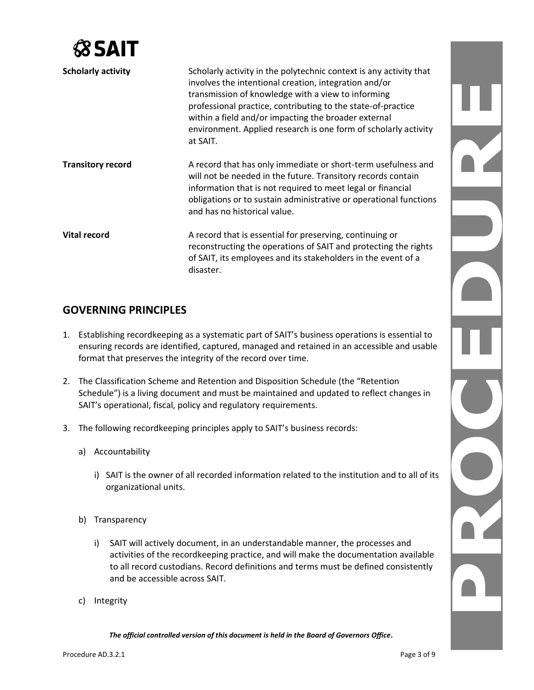| 58 S.A.                   |                                                                                                                                                                                                                                                                                                           |  |
|---------------------------|-----------------------------------------------------------------------------------------------------------------------------------------------------------------------------------------------------------------------------------------------------------------------------------------------------------|--|
| <b>Scholarly activity</b> | Scholarly activity in the polytechnic context is any activity that<br>involves the intentional creation, integration and/or<br>transmission of knowledge with a view to informing<br>professional practice, contributing to the state-of-practice<br>within a field and/or impacting the broader external |  |
|                           | environment. Applied research is one form of scholarly activity<br>at SAIT.                                                                                                                                                                                                                               |  |
| <b>Transitory record</b>  | A record that has only immediate or short-term usefulness and<br>will not be needed in the future. Transitory records contain<br>information that is not required to meet legal or financial                                                                                                              |  |
|                           | obligations or to sustain administrative or operational functions<br>and has no historical value.                                                                                                                                                                                                         |  |
| <b>Vital record</b>       | A record that is essential for preserving, continuing or                                                                                                                                                                                                                                                  |  |
|                           | reconstructing the operations of SAIT and protecting the rights                                                                                                                                                                                                                                           |  |
|                           | of SAIT, its employees and its stakeholders in the event of a<br>disaster.                                                                                                                                                                                                                                |  |

## **GOVERNING PRINCIPLES**

- 1. Establishing recordkeeping as a systematic part of SAIT's business operations is essential to ensuring records are identified, captured, managed and retained in an accessible and usable format that preserves the integrity of the record over time.
- 2. The Classification Scheme and Retention and Disposition Schedule (the "Retention Schedule") is a living document and must be maintained and updated to reflect changes in SAIT's operational, fiscal, policy and regulatory requirements.
- 3. The following recordkeeping principles apply to SAIT's business records:
	- a) Accountability
		- i) SAIT is the owner of all recorded information related to the institution and to all of its organizational units.
	- b) Transparency
		- i) SAIT will actively document, in an understandable manner, the processes and activities of the recordkeeping practice, and will make the documentation available to all record custodians. Record definitions and terms must be defined consistently and be accessible across SAIT.
	- c) Integrity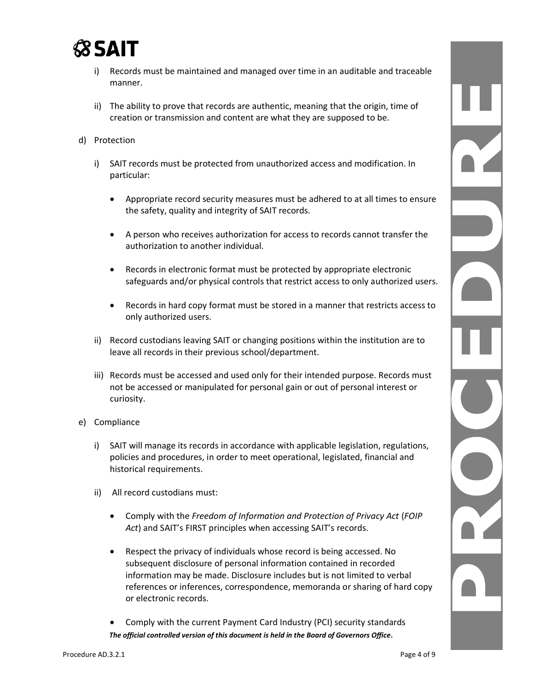

- i) Records must be maintained and managed over time in an auditable and traceable manner.
- ii) The ability to prove that records are authentic, meaning that the origin, time of creation or transmission and content are what they are supposed to be.
- d) Protection
	- i) SAIT records must be protected from unauthorized access and modification. In particular:
		- Appropriate record security measures must be adhered to at all times to ensure the safety, quality and integrity of SAIT records.
		- A person who receives authorization for access to records cannot transfer the authorization to another individual.
		- Records in electronic format must be protected by appropriate electronic safeguards and/or physical controls that restrict access to only authorized users.
		- Records in hard copy format must be stored in a manner that restricts access to only authorized users.
	- ii) Record custodians leaving SAIT or changing positions within the institution are to leave all records in their previous school/department.
	- iii) Records must be accessed and used only for their intended purpose. Records must not be accessed or manipulated for personal gain or out of personal interest or curiosity.
- e) Compliance
	- i) SAIT will manage its records in accordance with applicable legislation, regulations, policies and procedures, in order to meet operational, legislated, financial and historical requirements.
	- ii) All record custodians must:
		- Comply with the *Freedom of Information and Protection of Privacy Act* (*FOIP Act*) and SAIT's FIRST principles when accessing SAIT's records.
		- Respect the privacy of individuals whose record is being accessed. No subsequent disclosure of personal information contained in recorded information may be made. Disclosure includes but is not limited to verbal references or inferences, correspondence, memoranda or sharing of hard copy or electronic records.
		- *The official controlled version of this document is held in the Board of Governors Office.* • Comply with the current Payment Card Industry (PCI) security standards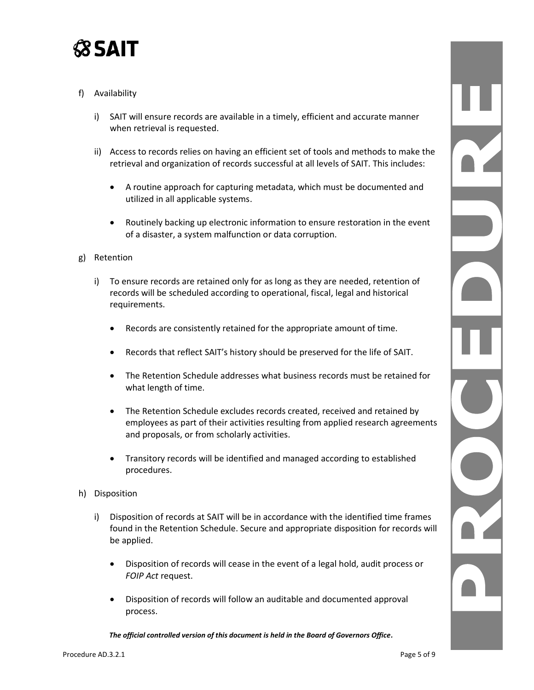

### f) Availability

- i) SAIT will ensure records are available in a timely, efficient and accurate manner when retrieval is requested.
- ii) Access to records relies on having an efficient set of tools and methods to make the retrieval and organization of records successful at all levels of SAIT. This includes:
	- A routine approach for capturing metadata, which must be documented and utilized in all applicable systems.
	- Routinely backing up electronic information to ensure restoration in the event of a disaster, a system malfunction or data corruption.

#### g) Retention

- i) To ensure records are retained only for as long as they are needed, retention of records will be scheduled according to operational, fiscal, legal and historical requirements.
	- Records are consistently retained for the appropriate amount of time.
	- Records that reflect SAIT's history should be preserved for the life of SAIT.
	- The Retention Schedule addresses what business records must be retained for what length of time.
	- The Retention Schedule excludes records created, received and retained by employees as part of their activities resulting from applied research agreements and proposals, or from scholarly activities.
	- Transitory records will be identified and managed according to established procedures.
- h) Disposition
	- i) Disposition of records at SAIT will be in accordance with the identified time frames found in the Retention Schedule. Secure and appropriate disposition for records will be applied.
		- Disposition of records will cease in the event of a legal hold, audit process or *FOIP Act* request.
		- Disposition of records will follow an auditable and documented approval process.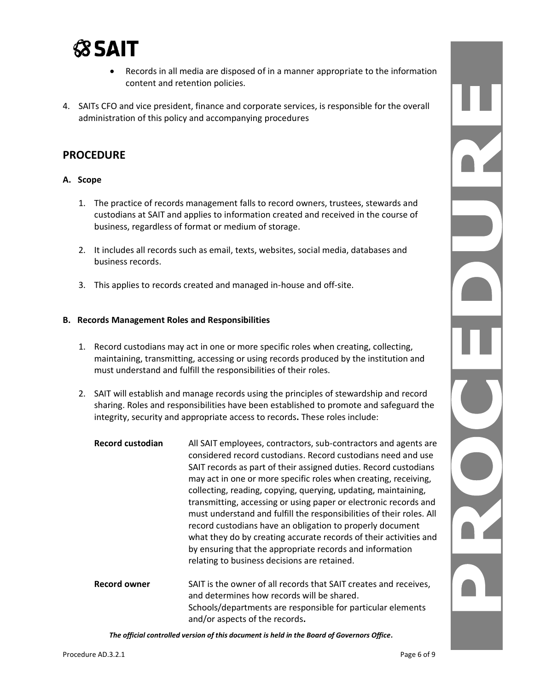## **SSAIT**

- Records in all media are disposed of in a manner appropriate to the information content and retention policies.
- 4. SAITs CFO and vice president, finance and corporate services, is responsible for the overall administration of this policy and accompanying procedures

## **PROCEDURE**

#### **A. Scope**

- 1. The practice of records management falls to record owners, trustees, stewards and custodians at SAIT and applies to information created and received in the course of business, regardless of format or medium of storage.
- 2. It includes all records such as email, texts, websites, social media, databases and business records.
- 3. This applies to records created and managed in-house and off-site.

#### **B. Records Management Roles and Responsibilities**

- 1. Record custodians may act in one or more specific roles when creating, collecting, maintaining, transmitting, accessing or using records produced by the institution and must understand and fulfill the responsibilities of their roles.
- 2. SAIT will establish and manage records using the principles of stewardship and record sharing. Roles and responsibilities have been established to promote and safeguard the integrity, security and appropriate access to records**.** These roles include:

| <b>Record custodian</b> | All SAIT employees, contractors, sub-contractors and agents are<br>considered record custodians. Record custodians need and use<br>SAIT records as part of their assigned duties. Record custodians<br>may act in one or more specific roles when creating, receiving,<br>collecting, reading, copying, querying, updating, maintaining,<br>transmitting, accessing or using paper or electronic records and<br>must understand and fulfill the responsibilities of their roles. All<br>record custodians have an obligation to properly document<br>what they do by creating accurate records of their activities and<br>by ensuring that the appropriate records and information<br>relating to business decisions are retained. |
|-------------------------|------------------------------------------------------------------------------------------------------------------------------------------------------------------------------------------------------------------------------------------------------------------------------------------------------------------------------------------------------------------------------------------------------------------------------------------------------------------------------------------------------------------------------------------------------------------------------------------------------------------------------------------------------------------------------------------------------------------------------------|
| <b>Record owner</b>     | SAIT is the owner of all records that SAIT creates and receives,<br>and determines how records will be shared.<br>Schools/departments are responsible for particular elements<br>and/or aspects of the records.                                                                                                                                                                                                                                                                                                                                                                                                                                                                                                                    |

*The official controlled version of this document is held in the Board of Governors Office.*

N C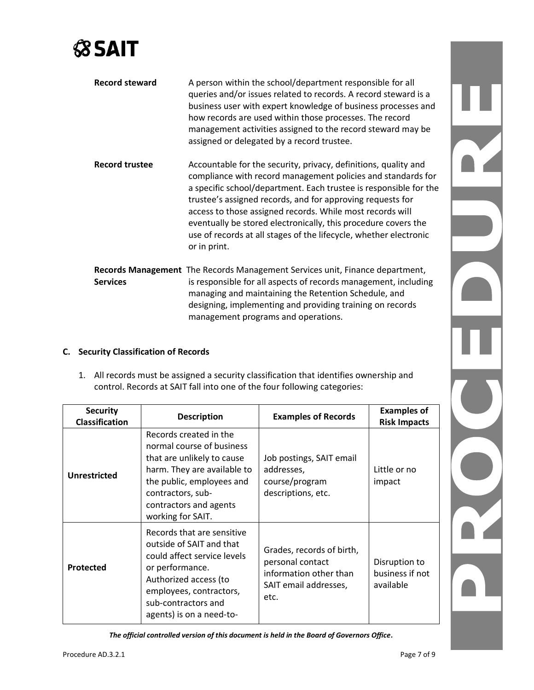# **SSAIT**

| <b>Record steward</b> | A person within the school/department responsible for all<br>queries and/or issues related to records. A record steward is a<br>business user with expert knowledge of business processes and<br>how records are used within those processes. The record<br>management activities assigned to the record steward may be<br>assigned or delegated by a record trustee.                                                                                                                  |
|-----------------------|----------------------------------------------------------------------------------------------------------------------------------------------------------------------------------------------------------------------------------------------------------------------------------------------------------------------------------------------------------------------------------------------------------------------------------------------------------------------------------------|
| <b>Record trustee</b> | Accountable for the security, privacy, definitions, quality and<br>compliance with record management policies and standards for<br>a specific school/department. Each trustee is responsible for the<br>trustee's assigned records, and for approving requests for<br>access to those assigned records. While most records will<br>eventually be stored electronically, this procedure covers the<br>use of records at all stages of the lifecycle, whether electronic<br>or in print. |
| <b>Services</b>       | Records Management The Records Management Services unit, Finance department,<br>is responsible for all aspects of records management, including<br>managing and maintaining the Retention Schedule, and<br>designing, implementing and providing training on records<br>management programs and operations.                                                                                                                                                                            |

### **C. Security Classification of Records**

1. All records must be assigned a security classification that identifies ownership and control. Records at SAIT fall into one of the four following categories:

| <b>Security</b><br><b>Classification</b> | <b>Description</b>                                                                                                                                                                                                | <b>Examples of Records</b>                                                                               | <b>Examples of</b><br><b>Risk Impacts</b>     |
|------------------------------------------|-------------------------------------------------------------------------------------------------------------------------------------------------------------------------------------------------------------------|----------------------------------------------------------------------------------------------------------|-----------------------------------------------|
| <b>Unrestricted</b>                      | Records created in the<br>normal course of business<br>that are unlikely to cause<br>harm. They are available to<br>the public, employees and<br>contractors, sub-<br>contractors and agents<br>working for SAIT. | Job postings, SAIT email<br>addresses,<br>course/program<br>descriptions, etc.                           | Little or no<br>impact                        |
| Protected                                | Records that are sensitive<br>outside of SAIT and that<br>could affect service levels<br>or performance.<br>Authorized access (to<br>employees, contractors,<br>sub-contractors and<br>agents) is on a need-to-   | Grades, records of birth,<br>personal contact<br>information other than<br>SAIT email addresses,<br>etc. | Disruption to<br>business if not<br>available |

*The official controlled version of this document is held in the Board of Governors Office.*

N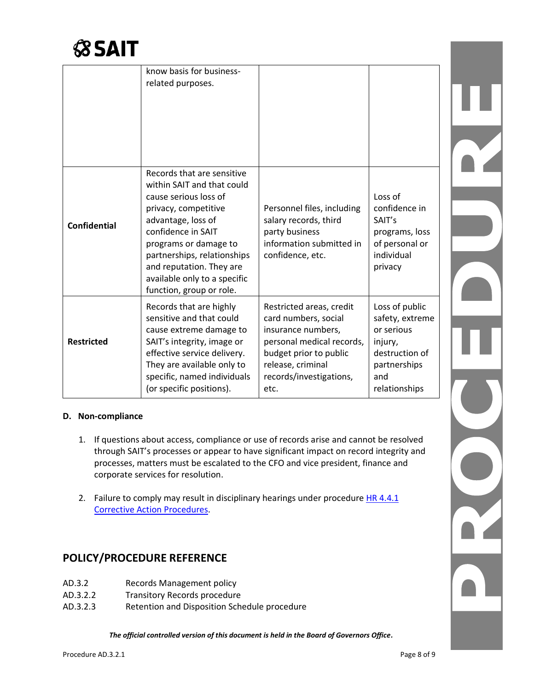

|                     | know basis for business-<br>related purposes.                                                                                                                                                                                                                                                         |                                                                                                                                                                                       |                                                                                                                      |  |
|---------------------|-------------------------------------------------------------------------------------------------------------------------------------------------------------------------------------------------------------------------------------------------------------------------------------------------------|---------------------------------------------------------------------------------------------------------------------------------------------------------------------------------------|----------------------------------------------------------------------------------------------------------------------|--|
| <b>Confidential</b> | Records that are sensitive<br>within SAIT and that could<br>cause serious loss of<br>privacy, competitive<br>advantage, loss of<br>confidence in SAIT<br>programs or damage to<br>partnerships, relationships<br>and reputation. They are<br>available only to a specific<br>function, group or role. | Personnel files, including<br>salary records, third<br>party business<br>information submitted in<br>confidence, etc.                                                                 | Loss of<br>confidence in<br>SAIT's<br>programs, loss<br>of personal or<br>individual<br>privacy                      |  |
| <b>Restricted</b>   | Records that are highly<br>sensitive and that could<br>cause extreme damage to<br>SAIT's integrity, image or<br>effective service delivery.<br>They are available only to<br>specific, named individuals<br>(or specific positions).                                                                  | Restricted areas, credit<br>card numbers, social<br>insurance numbers,<br>personal medical records,<br>budget prior to public<br>release, criminal<br>records/investigations,<br>etc. | Loss of public<br>safety, extreme<br>or serious<br>injury,<br>destruction of<br>partnerships<br>and<br>relationships |  |

#### **D. Non-compliance**

- 1. If questions about access, compliance or use of records arise and cannot be resolved through SAIT's processes or appear to have significant impact on record integrity and processes, matters must be escalated to the CFO and vice president, finance and corporate services for resolution.
- 2. Failure to comply may result in disciplinary hearings under procedure HR 4.4.1 [Corrective Action](https://www.sait.ca/assets/documents/about-sait/policies-and-procedures/human-resources/hr-4-4-1-corrective-action-procedures.pdf) Procedures.

## **POLICY/PROCEDURE REFERENCE**

- AD.3.2 Records Management policy
- AD.3.2.2 Transitory Records procedure
- AD.3.2.3 Retention and Disposition Schedule procedure